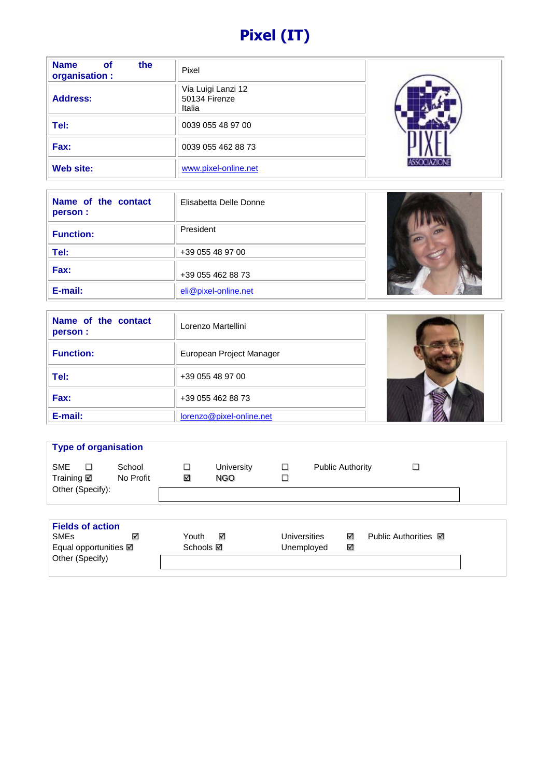# **Pixel (IT)**

| <b>Name</b><br>the<br><b>of</b><br>organisation : | Pixel                                         |  |
|---------------------------------------------------|-----------------------------------------------|--|
| <b>Address:</b>                                   | Via Luigi Lanzi 12<br>50134 Firenze<br>Italia |  |
| Tel:                                              | 0039 055 48 97 00                             |  |
| Fax:                                              | 0039 055 462 88 73                            |  |
| Web site:                                         | www.pixel-online.net                          |  |

| Name of the contact<br>person : | Elisabetta Delle Donne |  |
|---------------------------------|------------------------|--|
| <b>Function:</b>                | President              |  |
| Tel:                            | +39 055 48 97 00       |  |
| Fax:                            | +39 055 462 88 73      |  |
| E-mail:                         | eli@pixel-online.net   |  |

| Name of the contact<br>person : | Lorenzo Martellini       |  |  |  |
|---------------------------------|--------------------------|--|--|--|
| <b>Function:</b>                | European Project Manager |  |  |  |
| Tel:                            | +39 055 48 97 00         |  |  |  |
| Fax:                            | +39 055 462 88 73        |  |  |  |
| E-mail:                         | lorenzo@pixel-online.net |  |  |  |

| <b>Type of organisation</b>                                                       |                     |                           |                          |                            |                         |        |                             |  |
|-----------------------------------------------------------------------------------|---------------------|---------------------------|--------------------------|----------------------------|-------------------------|--------|-----------------------------|--|
| <b>SME</b><br>□<br>Training <b>Ø</b><br>Other (Specify):                          | School<br>No Profit | $\Box$<br>⊻               | <b>University</b><br>NGO | $\Box$<br>$\Box$           | <b>Public Authority</b> |        | □                           |  |
|                                                                                   |                     |                           |                          |                            |                         |        |                             |  |
| <b>Fields of action</b><br><b>SME<sub>s</sub></b><br>Equal opportunities <b>Ø</b> | ⊽                   | Youth<br>Schools <b>⊠</b> | ☑                        | Universities<br>Unemployed |                         | ☑<br>✓ | Public Authorities <b>⊠</b> |  |

Other (Specify)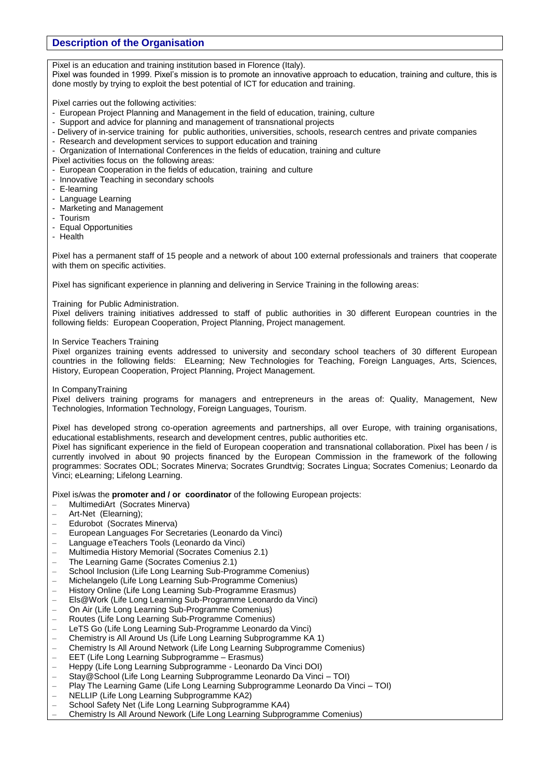# **Description of the Organisation**

Pixel is an education and training institution based in Florence (Italy).

Pixel was founded in 1999. Pixel's mission is to promote an innovative approach to education, training and culture, this is done mostly by trying to exploit the best potential of ICT for education and training.

Pixel carries out the following activities:

- European Project Planning and Management in the field of education, training, culture
- Support and advice for planning and management of transnational projects
- Delivery of in-service training for public authorities, universities, schools, research centres and private companies
- Research and development services to support education and training
- Organization of International Conferences in the fields of education, training and culture
- Pixel activities focus on the following areas:
- European Cooperation in the fields of education, training and culture
- Innovative Teaching in secondary schools
- E-learning
- Language Learning
- Marketing and Management
- Tourism
- Equal Opportunities
- Health

Pixel has a permanent staff of 15 people and a network of about 100 external professionals and trainers that cooperate with them on specific activities.

Pixel has significant experience in planning and delivering in Service Training in the following areas:

Training for Public Administration.

Pixel delivers training initiatives addressed to staff of public authorities in 30 different European countries in the following fields: European Cooperation, Project Planning, Project management.

In Service Teachers Training

Pixel organizes training events addressed to university and secondary school teachers of 30 different European countries in the following fields: ELearning; New Technologies for Teaching, Foreign Languages, Arts, Sciences, History, European Cooperation, Project Planning, Project Management.

#### In CompanyTraining

Pixel delivers training programs for managers and entrepreneurs in the areas of: Quality, Management, New Technologies, Information Technology, Foreign Languages, Tourism.

Pixel has developed strong co-operation agreements and partnerships, all over Europe, with training organisations, educational establishments, research and development centres, public authorities etc.

Pixel has significant experience in the field of European cooperation and transnational collaboration. Pixel has been / is currently involved in about 90 projects financed by the European Commission in the framework of the following programmes: Socrates ODL; Socrates Minerva; Socrates Grundtvig; Socrates Lingua; Socrates Comenius; Leonardo da Vinci; eLearning; Lifelong Learning.

Pixel is/was the **promoter and / or coordinator** of the following European projects:

- MultimediArt (Socrates Minerva)
- Art-Net (Elearning);
- Edurobot (Socrates Minerva)
- European Languages For Secretaries (Leonardo da Vinci)
- Language eTeachers Tools (Leonardo da Vinci)
- Multimedia History Memorial (Socrates Comenius 2.1)
- The Learning Game (Socrates Comenius 2.1)
- School Inclusion (Life Long Learning Sub-Programme Comenius)
- Michelangelo (Life Long Learning Sub-Programme Comenius)
- History Online (Life Long Learning Sub-Programme Erasmus)
- Els@Work (Life Long Learning Sub-Programme Leonardo da Vinci)
- On Air (Life Long Learning Sub-Programme Comenius)
- Routes (Life Long Learning Sub-Programme Comenius)
- LeTS Go (Life Long Learning Sub-Programme Leonardo da Vinci)
- Chemistry is All Around Us (Life Long Learning Subprogramme KA 1)
- Chemistry Is All Around Network (Life Long Learning Subprogramme Comenius)
- EET (Life Long Learning Subprogramme Erasmus)
- Heppy (Life Long Learning Subprogramme Leonardo Da Vinci DOI)
- Stay@School (Life Long Learning Subprogramme Leonardo Da Vinci TOI)
- Play The Learning Game (Life Long Learning Subprogramme Leonardo Da Vinci TOI)
- NELLIP (Life Long Learning Subprogramme KA2)
- School Safety Net (Life Long Learning Subprogramme KA4)
- Chemistry Is All Around Nework (Life Long Learning Subprogramme Comenius)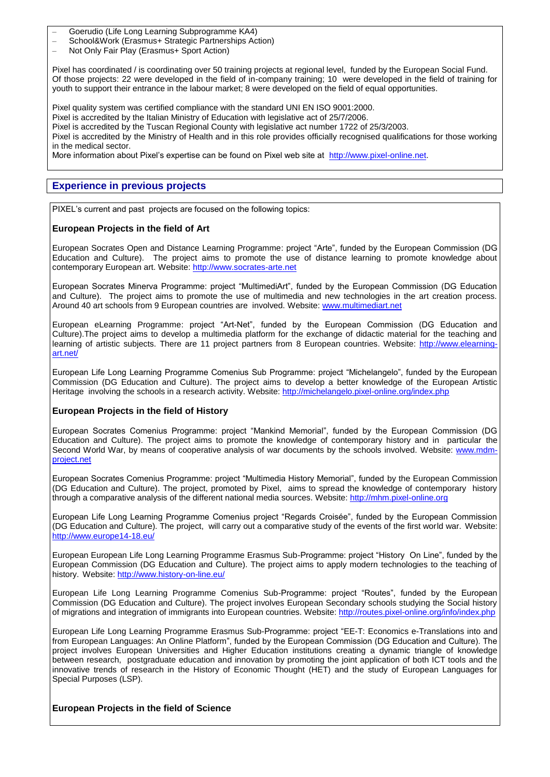- Goerudio (Life Long Learning Subprogramme KA4)
- School&Work (Erasmus+ Strategic Partnerships Action)
- Not Only Fair Play (Erasmus+ Sport Action)

Pixel has coordinated / is coordinating over 50 training projects at regional level, funded by the European Social Fund. Of those projects: 22 were developed in the field of in-company training; 10 were developed in the field of training for youth to support their entrance in the labour market; 8 were developed on the field of equal opportunities.

Pixel quality system was certified compliance with the standard UNI EN ISO 9001:2000.

Pixel is accredited by the Italian Ministry of Education with legislative act of 25/7/2006.

Pixel is accredited by the Tuscan Regional County with legislative act number 1722 of 25/3/2003.

Pixel is accredited by the Ministry of Health and in this role provides officially recognised qualifications for those working in the medical sector.

More information about Pixel's expertise can be found on Pixel web site at [http://www.pixel-online.net.](http://www.pixel-online.net/)

# **Experience in previous projects**

PIXEL's current and past projects are focused on the following topics:

#### **European Projects in the field of Art**

European Socrates Open and Distance Learning Programme: project "Arte", funded by the European Commission (DG Education and Culture). The project aims to promote the use of distance learning to promote knowledge about contemporary European art. Website: [http://www.socrates-arte.net](http://www.socrates-arte.net/) 

European Socrates Minerva Programme: project "MultimediArt", funded by the European Commission (DG Education and Culture). The project aims to promote the use of multimedia and new technologies in the art creation process. Around 40 art schools from 9 European countries are involved. Website: [www.multimediart.net](http://www.multimediart.net/)

European eLearning Programme: project "Art-Net", funded by the European Commission (DG Education and Culture).The project aims to develop a multimedia platform for the exchange of didactic material for the teaching and learning of artistic subjects. There are 11 project partners from 8 European countries. Website: [http://www.elearning](http://www.elearning-art.net/)[art.net/](http://www.elearning-art.net/)

European Life Long Learning Programme Comenius Sub Programme: project "Michelangelo", funded by the European Commission (DG Education and Culture). The project aims to develop a better knowledge of the European Artistic Heritage involving the schools in a research activity. Website:<http://michelangelo.pixel-online.org/index.php>

#### **European Projects in the field of History**

European Socrates Comenius Programme: project "Mankind Memorial", funded by the European Commission (DG Education and Culture). The project aims to promote the knowledge of contemporary history and in particular the Second World War, by means of cooperative analysis of war documents by the schools involved. Website: [www.mdm](http://www.mdm-project.net/)[project.net](http://www.mdm-project.net/)

European Socrates Comenius Programme: project "Multimedia History Memorial", funded by the European Commission (DG Education and Culture). The project, promoted by Pixel, aims to spread the knowledge of contemporary history through a comparative analysis of the different national media sources. Website: [http://mhm.pixel-online.org](http://mhm.pixel-online.org/)

European Life Long Learning Programme Comenius project "Regards Croisée", funded by the European Commission (DG Education and Culture). The project, will carry out a comparative study of the events of the first world war. Website: <http://www.europe14-18.eu/>

European European Life Long Learning Programme Erasmus Sub-Programme: project "History On Line", funded by the European Commission (DG Education and Culture). The project aims to apply modern technologies to the teaching of history. Website:<http://www.history-on-line.eu/>

European Life Long Learning Programme Comenius Sub-Programme: project "Routes", funded by the European Commission (DG Education and Culture). The project involves European Secondary schools studying the Social history of migrations and integration of immigrants into European countries. Website:<http://routes.pixel-online.org/info/index.php>

European Life Long Learning Programme Erasmus Sub-Programme: project "EE-T: Economics e-Translations into and from European Languages: An Online Platform", funded by the European Commission (DG Education and Culture). The project involves European Universities and Higher Education institutions creating a dynamic triangle of knowledge between research, postgraduate education and innovation by promoting the joint application of both ICT tools and the innovative trends of research in the History of Economic Thought (HET) and the study of European Languages for Special Purposes (LSP).

#### **European Projects in the field of Science**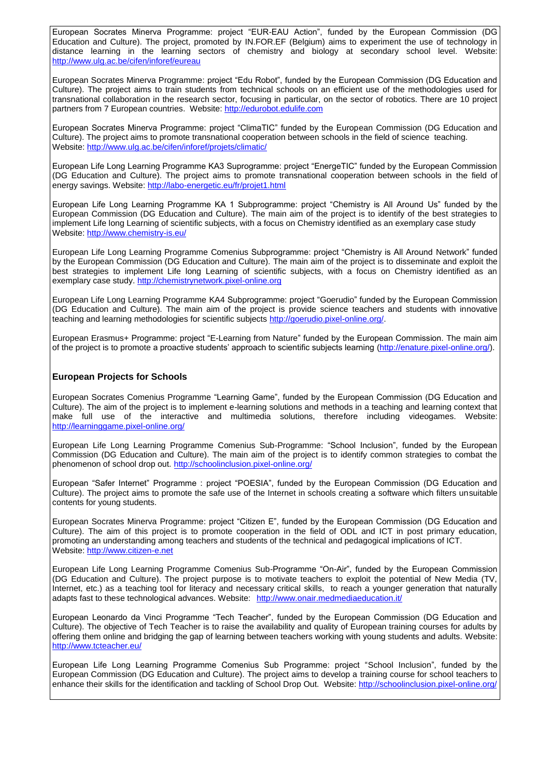European Socrates Minerva Programme: project "EUR-EAU Action", funded by the European Commission (DG Education and Culture). The project, promoted by IN.FOR.EF (Belgium) aims to experiment the use of technology in distance learning in the learning sectors of chemistry and biology at secondary school level. Website: <http://www.ulg.ac.be/cifen/inforef/eureau>

European Socrates Minerva Programme: project "Edu Robot", funded by the European Commission (DG Education and Culture). The project aims to train students from technical schools on an efficient use of the methodologies used for transnational collaboration in the research sector, focusing in particular, on the sector of robotics. There are 10 project partners from 7 European countries. Website: [http://edurobot.edulife.com](http://edurobot.edulife.com/)

European Socrates Minerva Programme: project "ClimaTIC" funded by the European Commission (DG Education and Culture). The project aims to promote transnational cooperation between schools in the field of science teaching. Website:<http://www.ulg.ac.be/cifen/inforef/projets/climatic/>

European Life Long Learning Programme KA3 Suprogramme: project "EnergeTIC" funded by the European Commission (DG Education and Culture). The project aims to promote transnational cooperation between schools in the field of energy savings. Website:<http://labo-energetic.eu/fr/projet1.html>

European Life Long Learning Programme KA 1 Subprogramme: project "Chemistry is All Around Us" funded by the European Commission (DG Education and Culture). The main aim of the project is to identify of the best strategies to implement Life long Learning of scientific subjects, with a focus on Chemistry identified as an exemplary case study Website:<http://www.chemistry-is.eu/>

European Life Long Learning Programme Comenius Subprogramme: project "Chemistry is All Around Network" funded by the European Commission (DG Education and Culture). The main aim of the project is to disseminate and exploit the best strategies to implement Life long Learning of scientific subjects, with a focus on Chemistry identified as an exemplary case study[. http://chemistrynetwork.pixel-online.org](http://chemistrynetwork.pixel-online.org/)

European Life Long Learning Programme KA4 Subprogramme: project "Goerudio" funded by the European Commission (DG Education and Culture). The main aim of the project is provide science teachers and students with innovative teaching and learning methodologies for scientific subjects [http://goerudio.pixel-online.org/.](http://goerudio.pixel-online.org/)

European Erasmus+ Programme: project "E-Learning from Nature" funded by the European Commission. The main aim of the project is to promote a proactive students' approach to scientific subjects learning [\(http://enature.pixel-online.org/\)](http://enature.pixel-online.org/).

## **European Projects for Schools**

European Socrates Comenius Programme "Learning Game", funded by the European Commission (DG Education and Culture). The aim of the project is to implement e-learning solutions and methods in a teaching and learning context that make full use of the interactive and multimedia solutions, therefore including videogames. Website: <http://learninggame.pixel-online.org/>

European Life Long Learning Programme Comenius Sub-Programme: "School Inclusion", funded by the European Commission (DG Education and Culture). The main aim of the project is to identify common strategies to combat the phenomenon of school drop out.<http://schoolinclusion.pixel-online.org/>

European "Safer Internet" Programme : project "POESIA", funded by the European Commission (DG Education and Culture). The project aims to promote the safe use of the Internet in schools creating a software which filters unsuitable contents for young students.

European Socrates Minerva Programme: project "Citizen E", funded by the European Commission (DG Education and Culture). The aim of this project is to promote cooperation in the field of ODL and ICT in post primary education, promoting an understanding among teachers and students of the technical and pedagogical implications of ICT. Website: [http://www.citizen-e.net](http://www.citizen-e.net/)

European Life Long Learning Programme Comenius Sub-Programme "On-Air", funded by the European Commission (DG Education and Culture). The project purpose is to motivate teachers to exploit the potential of New Media (TV, Internet, etc.) as a teaching tool for literacy and necessary critical skills, to reach a younger generation that naturally adapts fast to these technological advances. Website: <http://www.onair.medmediaeducation.it/>

European Leonardo da Vinci Programme "Tech Teacher", funded by the European Commission (DG Education and Culture). The objective of Tech Teacher is to raise the availability and quality of European training courses for adults by offering them online and bridging the gap of learning between teachers working with young students and adults. Website: <http://www.tcteacher.eu/>

European Life Long Learning Programme Comenius Sub Programme: project "School Inclusion", funded by the European Commission (DG Education and Culture). The project aims to develop a training course for school teachers to enhance their skills for the identification and tackling of School Drop Out. Website:<http://schoolinclusion.pixel-online.org/>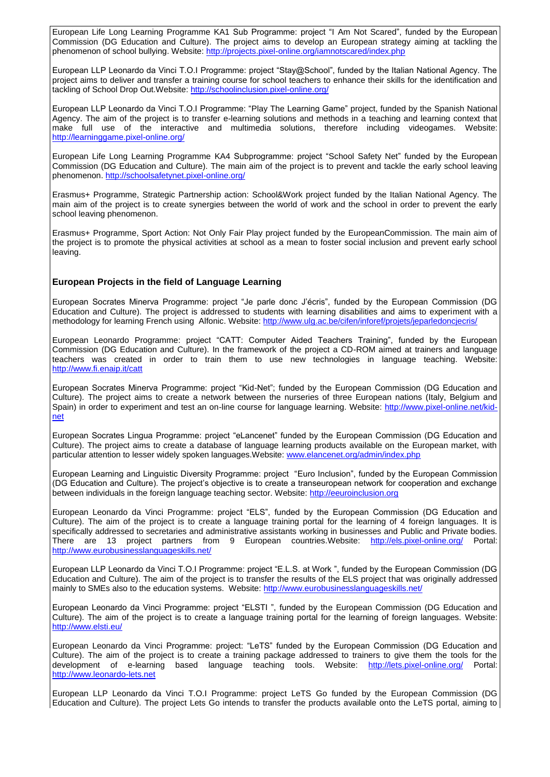European Life Long Learning Programme KA1 Sub Programme: project "I Am Not Scared", funded by the European Commission (DG Education and Culture). The project aims to develop an European strategy aiming at tackling the phenomenon of school bullying. Website:<http://projects.pixel-online.org/iamnotscared/index.php>

European LLP Leonardo da Vinci T.O.I Programme: project "Stay@School", funded by the Italian National Agency. The project aims to deliver and transfer a training course for school teachers to enhance their skills for the identification and tackling of School Drop Out. Website:<http://schoolinclusion.pixel-online.org/>

European LLP Leonardo da Vinci T.O.I Programme: "Play The Learning Game" project, funded by the Spanish National Agency. The aim of the project is to transfer e-learning solutions and methods in a teaching and learning context that make full use of the interactive and multimedia solutions, therefore including videogames. Website: <http://learninggame.pixel-online.org/>

European Life Long Learning Programme KA4 Subprogramme: project "School Safety Net" funded by the European Commission (DG Education and Culture). The main aim of the project is to prevent and tackle the early school leaving phenomenon.<http://schoolsafetynet.pixel-online.org/>

Erasmus+ Programme, Strategic Partnership action: School&Work project funded by the Italian National Agency. The main aim of the project is to create synergies between the world of work and the school in order to prevent the early school leaving phenomenon.

Erasmus+ Programme, Sport Action: Not Only Fair Play project funded by the EuropeanCommission. The main aim of the project is to promote the physical activities at school as a mean to foster social inclusion and prevent early school leaving.

# **European Projects in the field of Language Learning**

European Socrates Minerva Programme: project "Je parle donc J'écris", funded by the European Commission (DG Education and Culture). The project is addressed to students with learning disabilities and aims to experiment with a methodology for learning French using Alfonic. Website:<http://www.ulg.ac.be/cifen/inforef/projets/jeparledoncjecris/>

European Leonardo Programme: project "CATT: Computer Aided Teachers Training", funded by the European Commission (DG Education and Culture). In the framework of the project a CD-ROM aimed at trainers and language teachers was created in order to train them to use new technologies in language teaching. Website: <http://www.fi.enaip.it/catt>

European Socrates Minerva Programme: project "Kid-Net"; funded by the European Commission (DG Education and Culture). The project aims to create a network between the nurseries of three European nations (Italy, Belgium and Spain) in order to experiment and test an on-line course for language learning. Website: [http://www.pixel-online.net/kid](http://www.pixel-online.net/kid-net)[net](http://www.pixel-online.net/kid-net)

European Socrates Lingua Programme: project "eLancenet" funded by the European Commission (DG Education and Culture). The project aims to create a database of language learning products available on the European market, with particular attention to lesser widely spoken languages.Website: [www.elancenet.org/admin/index.php](http://www.elancenet.org/admin/index.php)

European Learning and Linguistic Diversity Programme: project "Euro Inclusion", funded by the European Commission (DG Education and Culture). The project's objective is to create a transeuropean network for cooperation and exchange between individuals in the foreign language teaching sector. Website: [http://eeuroinclusion.org](http://eeuroinclusion.org/)

European Leonardo da Vinci Programme: project "ELS", funded by the European Commission (DG Education and Culture). The aim of the project is to create a language training portal for the learning of 4 foreign languages. It is specifically addressed to secretaries and administrative assistants working in businesses and Public and Private bodies. There are 13 project partners from 9 European countries.Website: <http://els.pixel-online.org/> Portal: <http://www.eurobusinesslanguageskills.net/>

European LLP Leonardo da Vinci T.O.I Programme: project "E.L.S. at Work ", funded by the European Commission (DG Education and Culture). The aim of the project is to transfer the results of the ELS project that was originally addressed mainly to SMEs also to the education systems. Website:<http://www.eurobusinesslanguageskills.net/>

European Leonardo da Vinci Programme: project "ELSTI ", funded by the European Commission (DG Education and Culture). The aim of the project is to create a language training portal for the learning of foreign languages. Website: <http://www.elsti.eu/>

European Leonardo da Vinci Programme: project: "LeTS" funded by the European Commission (DG Education and Culture). The aim of the project is to create a training package addressed to trainers to give them the tools for the development of e-learning based language teaching tools. Website: <http://lets.pixel-online.org/> Portal: [http://www.leonardo-lets.net](http://www.leonardo-lets.net/)

European LLP Leonardo da Vinci T.O.I Programme: project LeTS Go funded by the European Commission (DG Education and Culture). The project Lets Go intends to transfer the products available onto the LeTS portal, aiming to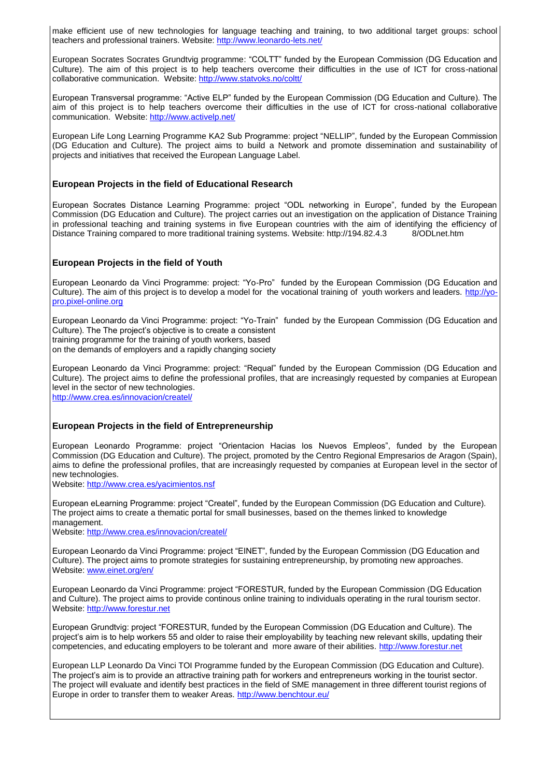make efficient use of new technologies for language teaching and training, to two additional target groups: school teachers and professional trainers. Website: <http://www.leonardo-lets.net/>

European Socrates Socrates Grundtvig programme: "COLTT" funded by the European Commission (DG Education and Culture). The aim of this project is to help teachers overcome their difficulties in the use of ICT for cross-national collaborative communication. Website:<http://www.statvoks.no/coltt/>

European Transversal programme: "Active ELP" funded by the European Commission (DG Education and Culture). The aim of this project is to help teachers overcome their difficulties in the use of ICT for cross-national collaborative communication. Website:<http://www.activelp.net/>

European Life Long Learning Programme KA2 Sub Programme: project "NELLIP", funded by the European Commission (DG Education and Culture). The project aims to build a Network and promote dissemination and sustainability of projects and initiatives that received the European Language Label.

## **European Projects in the field of Educational Research**

European Socrates Distance Learning Programme: project "ODL networking in Europe", funded by the European Commission (DG Education and Culture). The project carries out an investigation on the application of Distance Training in professional teaching and training systems in five European countries with the aim of identifying the efficiency of Distance Training compared to more traditional training systems. Website: http://194.82.4.3 8/ODLnet.htm

## **European Projects in the field of Youth**

European Leonardo da Vinci Programme: project: "Yo-Pro" funded by the European Commission (DG Education and Culture). The aim of this project is to develop a model for the vocational training of youth workers and leaders. [http://yo](http://yo-pro.pixel-online.org/)[pro.pixel-online.org](http://yo-pro.pixel-online.org/)

European Leonardo da Vinci Programme: project: "Yo-Train" funded by the European Commission (DG Education and Culture). The The project's objective is to create a consistent training programme for the training of youth workers, based on the demands of employers and a rapidly changing society

European Leonardo da Vinci Programme: project: "Requal" funded by the European Commission (DG Education and Culture). The project aims to define the professional profiles, that are increasingly requested by companies at European level in the sector of new technologies. <http://www.crea.es/innovacion/createl/>

# **European Projects in the field of Entrepreneurship**

European Leonardo Programme: project "Orientacion Hacias los Nuevos Empleos", funded by the European Commission (DG Education and Culture). The project, promoted by the Centro Regional Empresarios de Aragon (Spain), aims to define the professional profiles, that are increasingly requested by companies at European level in the sector of new technologies.

Website:<http://www.crea.es/yacimientos.nsf>

European eLearning Programme: project "Createl", funded by the European Commission (DG Education and Culture). The project aims to create a thematic portal for small businesses, based on the themes linked to knowledge management.

Website:<http://www.crea.es/innovacion/createl/>

European Leonardo da Vinci Programme: project "EINET", funded by the European Commission (DG Education and Culture). The project aims to promote strategies for sustaining entrepreneurship, by promoting new approaches. Website: [www.einet.org/en/](http://www.einet.org/en/)

European Leonardo da Vinci Programme: project "FORESTUR, funded by the European Commission (DG Education and Culture). The project aims to provide continous online training to individuals operating in the rural tourism sector. Website: [http://www.forestur.net](http://www.forestur.net/)

European Grundtvig: project "FORESTUR, funded by the European Commission (DG Education and Culture). The project's aim is to help workers 55 and older to raise their employability by teaching new relevant skills, updating their competencies, and educating employers to be tolerant and more aware of their abilities. [http://www.forestur.net](http://www.forestur.net/)

European LLP Leonardo Da Vinci TOI Programme funded by the European Commission (DG Education and Culture). The project's aim is to provide an attractive training path for workers and entrepreneurs working in the tourist sector. The project will evaluate and identify best practices in the field of SME management in three different tourist regions of Europe in order to transfer them to weaker Areas. <http://www.benchtour.eu/>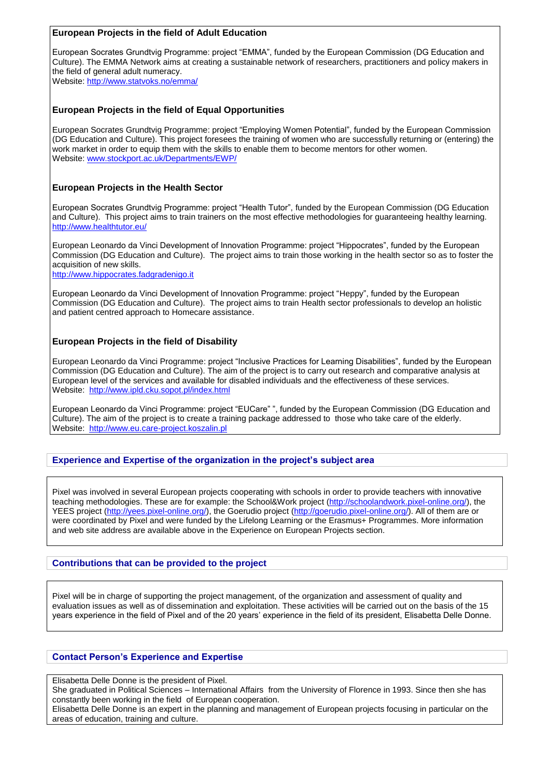## **European Projects in the field of Adult Education**

European Socrates Grundtvig Programme: project "EMMA", funded by the European Commission (DG Education and Culture). The EMMA Network aims at creating a sustainable network of researchers, practitioners and policy makers in the field of general adult numeracy.

Website:<http://www.statvoks.no/emma/>

## **European Projects in the field of Equal Opportunities**

European Socrates Grundtvig Programme: project "Employing Women Potential", funded by the European Commission (DG Education and Culture). This project foresees the training of women who are successfully returning or (entering) the work market in order to equip them with the skills to enable them to become mentors for other women. Website: [www.stockport.ac.uk/Departments/EWP/](http://www.stockport.ac.uk/Departments/EWP/)

# **European Projects in the Health Sector**

European Socrates Grundtvig Programme: project "Health Tutor", funded by the European Commission (DG Education and Culture). This project aims to train trainers on the most effective methodologies for guaranteeing healthy learning. <http://www.healthtutor.eu/>

European Leonardo da Vinci Development of Innovation Programme: project "Hippocrates", funded by the European Commission (DG Education and Culture). The project aims to train those working in the health sector so as to foster the acquisition of new skills.

[http://www.hippocrates.fadgradenigo.it](http://www.hippocrates.fadgradenigo.it/)

European Leonardo da Vinci Development of Innovation Programme: project "Heppy", funded by the European Commission (DG Education and Culture). The project aims to train Health sector professionals to develop an holistic and patient centred approach to Homecare assistance.

## **European Projects in the field of Disability**

European Leonardo da Vinci Programme: project "Inclusive Practices for Learning Disabilities", funded by the European Commission (DG Education and Culture). The aim of the project is to carry out research and comparative analysis at European level of the services and available for disabled individuals and the effectiveness of these services. Website:<http://www.ipld.cku.sopot.pl/index.html>

European Leonardo da Vinci Programme: project "EUCare" ", funded by the European Commission (DG Education and Culture). The aim of the project is to create a training package addressed to those who take care of the elderly. Website: [http://www.eu.care-project.koszalin.pl](http://www.eu.care-project.koszalin.pl/)

# **Experience and Expertise of the organization in the project's subject area**

Pixel was involved in several European projects cooperating with schools in order to provide teachers with innovative teaching methodologies. These are for example: the School&Work project [\(http://schoolandwork.pixel-online.org/\)](http://schoolandwork.pixel-online.org/), the YEES project [\(http://yees.pixel-online.org/\)](http://yees.pixel-online.org/), the Goerudio project [\(http://goerudio.pixel-online.org/\)](http://goerudio.pixel-online.org/). All of them are or were coordinated by Pixel and were funded by the Lifelong Learning or the Erasmus+ Programmes. More information and web site address are available above in the Experience on European Projects section.

# **Contributions that can be provided to the project**

Pixel will be in charge of supporting the project management, of the organization and assessment of quality and evaluation issues as well as of dissemination and exploitation. These activities will be carried out on the basis of the 15 years experience in the field of Pixel and of the 20 years' experience in the field of its president, Elisabetta Delle Donne.

#### **Contact Person's Experience and Expertise**

Elisabetta Delle Donne is the president of Pixel.

She graduated in Political Sciences – International Affairs from the University of Florence in 1993. Since then she has constantly been working in the field of European cooperation.

Elisabetta Delle Donne is an expert in the planning and management of European projects focusing in particular on the areas of education, training and culture.